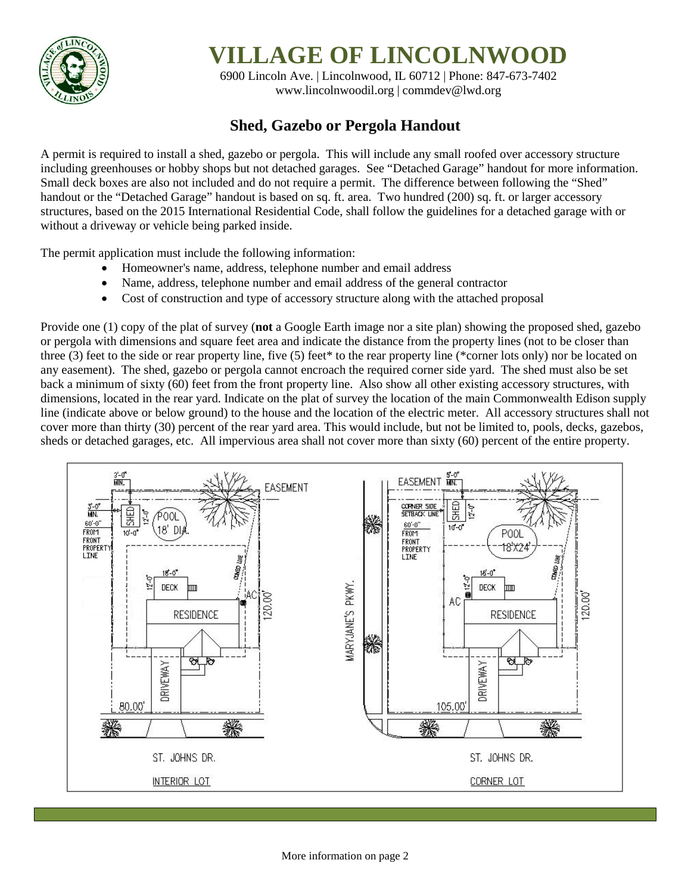

## **VILLAGE OF LINCOLNWOOD**

6900 Lincoln Ave. | Lincolnwood, IL 60712 | Phone: 847-673-7402 [www.lincolnwoodil.org](http://www.lincolnwoodil.org/) | commdev@lwd.org

## **Shed, Gazebo or Pergola Handout**

A permit is required to install a shed, gazebo or pergola. This will include any small roofed over accessory structure including greenhouses or hobby shops but not detached garages. See "Detached Garage" handout for more information. Small deck boxes are also not included and do not require a permit. The difference between following the "Shed" handout or the "Detached Garage" handout is based on sq. ft. area. Two hundred (200) sq. ft. or larger accessory structures, based on the 2015 International Residential Code, shall follow the guidelines for a detached garage with or without a driveway or vehicle being parked inside.

The permit application must include the following information:

- Homeowner's name, address, telephone number and email address
- Name, address, telephone number and email address of the general contractor
- Cost of construction and type of accessory structure along with the attached proposal

Provide one (1) copy of the plat of survey (**not** a Google Earth image nor a site plan) showing the proposed shed, gazebo or pergola with dimensions and square feet area and indicate the distance from the property lines (not to be closer than three (3) feet to the side or rear property line, five (5) feet\* to the rear property line (\*corner lots only) nor be located on any easement). The shed, gazebo or pergola cannot encroach the required corner side yard. The shed must also be set back a minimum of sixty (60) feet from the front property line. Also show all other existing accessory structures, with dimensions, located in the rear yard. Indicate on the plat of survey the location of the main Commonwealth Edison supply line (indicate above or below ground) to the house and the location of the electric meter. All accessory structures shall not cover more than thirty (30) percent of the rear yard area. This would include, but not be limited to, pools, decks, gazebos, sheds or detached garages, etc. All impervious area shall not cover more than sixty (60) percent of the entire property.